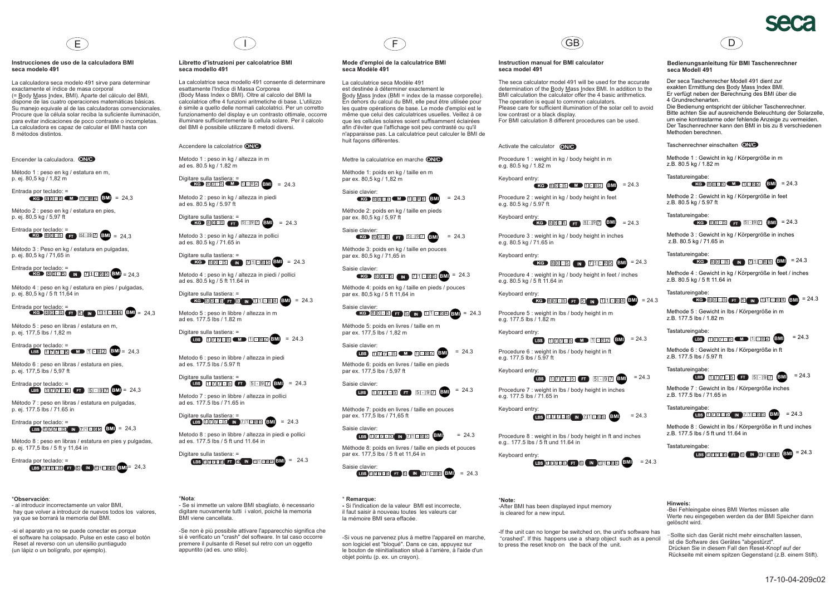#### **Instrucciones de uso de la calculadora BMI seca modelo 491**

La calculadora seca modelo 491 sirve para determinar exactamente el índice de masa corporal (= <u>B</u>ody <u>M</u>ass <u>I</u>ndex, BMI). Aparte del cálculo del BMI, dispone de las cuatro operaciones matemáticas básicas. Su manejo equivale al de las calculadoras convencionales. Procure que la célula solar reciba la suficiente iluminación, para evitar indicaciones de poco contraste <sup>o</sup> incompletas. La calculadora es capaz de calcular el BMI hasta con 8 métodos distintos.

= 24,3

### Encender la calculadora. <sup>ONC</sup>

Método 1 : peso en kg / estatura en m, p. ej. 80,5 kg / 1,82 <sup>m</sup>

Entrada por teclado: <sup>=</sup>

Método 2 : peso en kg / estatura en pies, p. ej. 80,5 kg / 5,97 ft

Entrada por teclado: = 24,3

Método 3 : Peso en kg / estatura en pulgadas, p. ej. 80,5 kg / 71,65 in



Método 4 : peso en kg / estatura en pies / pulgadas, p. ej. 80,5 kg / 5 ft 11,64 in



Método 5 : peso en libras / estatura en m, p. ej. 177,5 lbs / 1,82 <sup>m</sup>



Método 6 : peso en libras / estatura en pies, p. ej. 177,5 lbs / 5,97 ft



Método 7 : peso en libras / estatura en pulgadas, p. ej. 177.5 lbs / 71.65 in



Método 8 : peso en libras / estatura en pies y pulgadas, p. ej. 177,5 lbs / 5 ft y 11,64 in



#### \* : **Observación**

- al introducir incorrectamente un valor BMI, hay que volver <sup>a</sup> introducir de nuevos todos los valores, ya que se borrará la memoria del BMI.

-si el aparato ya no se puede conectar es porque el software ha colapsado. Pulse en este caso el botón Reset al reverso con un utensilio puntiagudo (un lápiz <sup>o</sup> un bolígrafo, por ejemplo).

#### **Libretto d'istruzioni per calcolatrice BMI seca modello 491**

La calcolatrice seca modello 491 consente di determinare esattamente l'Indice di Massa Corporea (Body Mass Index <sup>o</sup> BMI). Oltre al calcolo del BMI la calcolatrice offre 4 funzioni aritmetiche di base. L'utilizzo è simile <sup>a</sup> quello delle normali calcolatrici. Per un corretto funzionamento del display <sup>e</sup> un contrasto ottimale, occorre illuminare sufficientemente la cellula solare. Per il calcolodel BMI è possibile utilizzare 8 metodi diversi.

Accendere la calcolatrice **ONG** 

Metodo 1 : peso in kg / altezza in <sup>m</sup> ad es. 80.5 kg / 1.82 <sup>m</sup>

Digitare sulla tastiera: <sup>=</sup> = 24.380 5 1 8 2 **BMI**

Metodo 2 : peso in kg / altezza in piedi ad es. 80.5 kg / 5.97 ft

Digitare sulla tastiera: <sup>=</sup> = 24.380 5 <del>ft</del> 5 9 7 6 M

Metodo 3 : peso in kg / altezza in pollici ad es. 80.5 kg / 71.65 in

Digitare sulla tastiera: <sup>=</sup> 80 5 N 71 65 BMI = 24.3

Metodo 4 : peso in kg / altezza in piedi / pollici ad es. 80.5 kg / 5 ft 11.64 in

Digitare sulla tastiera: <sup>=</sup> 80 **5 F 6 N 11 5 6 4 6 M** = 24.3

Metodo 5 : peso in libbre / altezza in <sup>m</sup> ad es. 177.5 lbs / 1.82 <sup>m</sup>

Digitare sulla tastiera: <sup>=</sup> = 24.3 177 5 1 8 2 **BMI**

Metodo 6 : peso in libbre / altezza in piedi ad es. 177.5 lbs / 5.97 ft

Digitare sulla tastiera: <sup>=</sup> = 24.3 177 5 5 9 7 **BMI**

Metodo 7 : peso in libbre / altezza in pollici ad es. 177.5 lbs / 71.65 in

Digitare sulla tastiera: <sup>=</sup> 1 **1 Z11 6 5 (BMI)** = 24.3

Metodo 8 : peso in libbre / altezza in piedi <sup>e</sup> pollici ad es. 177.5 lbs / 5 ft und 11.64 in

Digitare sulla tastiera: <sup>=</sup> = 24.3 177 5 5 1 1 6 4 **BMI**

#### \* : **Nota**

- Se si immette un valore BMI sbagliato, è necessario digitare nuovamente tutti i valori, poiché la memoria BMI viene cancellata.

-Se non è più possibile attivare l'apparecchio significa che si è verificato un "crash" del software. In tal caso occorrepremere il pulsante di Reset sul retro con un oggetto appuntito (ad es. uno stilo).

# $\Box$  (F

#### **Mode d'emploi de la calculatrice BMI seca Modèle 491**

La calculatrice seca Modèle 491 est destinée à déterminer exactement leBody Mass Index (BMI = index de la masse corporelle). En dehors du calcul du BMI, elle peut être utilisée pour les quatre opérations de base. Le mode d'emploi est le même que celui des calculatrices usuelles. Veillez à ce que les cellules solaires soient suffisamment éclairées afin d'éviter que l'affichage soit peu contrasté ou qu'il <sup>n</sup>'apparaisse pas. La calculatrice peut calculer le BMI de huit façons différentes.

Mettre la calculatrice en marche **ONG** 

Méthode 1: poids en kg / taille en <sup>m</sup> par ex. 80,5 kg / 1,82 <sup>m</sup>

Saisie clavier: = 24.380 5 C M 2 1 5 8 2 BMI

Méthode 2: poids en kg / taille en pieds par ex. 80,5 kg / 5,97 ft

Saisie clavier: = 24.380 5 **6 9 8 9 7 6 8 4** 

Méthode 3: poids en kg / taille en pouces par ex. 80,5 kg / 71,65 in

Saisie clavier: 80 **6 1 5 AM 7 1 6 5 GM** <sup>=</sup> 24.3

Méthode 4: poids en kg / taille en pieds / pouces par ex. 80,5 kg / 5 ft 11,64 in

Saisie clavier: 80 **1 5 F 5 N** 11 1 6 4 **6 M** = 24.3

Méthode 5: poids en livres / taille en <sup>m</sup> par ex. 177,5 lbs / 1,82 <sup>m</sup>

Saisie clavier: = 24.31**177 15 CMD** 11 08 2 BM

Méthode 6: poids en livres / taille en pieds par ex. 177,5 lbs / 5,97 ft Saisie clavier:

177 5 6 9 7 **8 9 7 8 4** 3

Méthode 7: poids en livres / taille en pouces par ex. 177,5 lbs / 71,65 ft

Saisie clavier: = 24.3177 5 **1** 178 5 6 5 6 5 6 5 6  $\mu$ 

Méthode 8: poids en livres / taille en pieds et pouces par ex. 177,5 lbs / 5 ft et 11,64 in



\***Remarque:** Si l'indication de la valeur BMI est incorrecte, il faut saisir à nouveau toutes les valeurs car la mémoire BMI sera effacée.

-Si vous ne parvenez plus à mettre l'appareil en marche, son logiciel est "bloqué". Dans ce cas, appuyez sur le bouton de réinitialisation situé à l'arrière, à l'aide d'un objet pointu (p. ex. un crayon).



#### **Instruction manual for BMI calculator seca model 491**

The seca calculator model 491 will be used for the accuratedetermination of the **Body Mass Index BMI**. In addition to the BMI calculation the calculator offer the 4 basic arithmetics. The operation is equal to common calculators. Please care for sufficient illumination of the solar cell to avoidlow contrast or <sup>a</sup> black display. For BMI calculation 8 different procedures can be used.

### Activate the calculator **ONG**

Procedure 1 : weight in kg / body height in <sup>m</sup> e.g. 80.5 kg / 1.82 <sup>m</sup>

Keyboard entry: 80 **15 MD** 11 **182 BMI** = 24.3

Procedure 2 : weight in kg / body height in feet e.g. 80.5 kg / 5.97 ft

**Keyboard entry:**<br> **EXC BIOLES (FT BLIDIT)** EMI = 24.3

Procedure 3 : weight in kg / body height in inches e.g. 80.5 kg / 71.65 in

Keyboard entry: 80 **15 M ZIL 65 BM** = 24.3

Procedure 4 : weight in kg / body height in feet / inches e.g. 80.5 kg / 5 ft 11.64 in

Keyboard entry: = 24.3 80 5 5 1 1 6 4 **BMI**

Procedure 5 : weight in lbs / body height in <sup>m</sup> e.g. 177.5 lbs / 1.82 <sup>m</sup>

Keyboard entry: 177 **5 (M)** 11 82 **6M** = 24.3

Procedure 6 : weight in lbs / body height in ft e.g. 177.5 lbs / 5.97 ft

Keyboard entry: = 24.311**717 5 6 7** 5 9 7 **6 1** 

Procedure 7 : weight in lbs / body height in inches e.g. 177.5 lbs / 71.65 in

Keyboard entry: 11**77 5 10 78 5 6 5 6 5 6 5 6 7 8 5 6 7 8 5 6 7 8 7 8 5 6 7 8 7 8 7 8 7 8 7 8 7 8 9 8** 

Procedure 8 : weight in lbs / body height in ft and inches e.g.. 177.5 lbs / 5 ft und 11.64 in

Keyboard entry: 177 5 5 1 1 6 4 **BMI**



\***Note:** -After BMI has been displayed input memory is cleared for <sup>a</sup> new input.

-If the unit can no longer be switched on, the unit's software has "crashed". If this happens use <sup>a</sup> sharp object such as <sup>a</sup> pencil to press the reset knob on the back of the unit.



#### **Bedienungsanleitung für BMI Taschenrechner seca Modell 491**

Der seca Taschenrecher Modell 491 dient zurexakten Ermittlung des Body Mass Index BMI. Er verfügt neben der Berechnung des BMI über die 4 Grundrechenarten. Die Bedienung entspricht der üblicher Taschenrechner. Bitte achten Sie auf ausreichende Beleuchtung der Solarzelle, um eine kontrastarme oder fehlende Anzeige zu vermeiden. Der Taschenrechner kann den BMI in bis zu 8 verschiedenen

#### Taschenrechner einschalten

Methoden berechnen.

Tastatureingabe:

z.B. 80.5 kg / 5 ft 11.64 in Tastatureingabe:

z.B. 177.5 lbs / 1.82 <sup>m</sup>Tastatureingabe:

z.B. 177.5 lbs / 5.97 ft Tastatureingabe:

z.B. 177.5 lbs / 71.65 inTastatureingabe:

Tastatureingabe:

**Hinweis:**

gelöscht wird.

= 24.3

= 24.3

z.B. 177.5 lbs / 5 ft und 11.64 in

Methode 1 : Gewicht in kg / Körpergröße in <sup>m</sup> z.B. 80.5 kg / 1.82 <sup>m</sup>

Tastatureingabe: 80**06 (M) 11 82** BMI) = 24.3

Methode 2 : Gewicht in kg / Körpergröße in feet z.B. 80.5 kg / 5.97 ft

Tastatureingabe: = 24.3 80 5 5 9 7 **BMI**

Methode 3 : Gewicht in kg / Körpergröße in inches z.B. 80.5 kg / 71.65 in

Methode 4 : Gewicht in kg / Körpergröße in feet / inches

Methode 5 : Gewicht in lbs / Körpergröße in <sup>m</sup>

Methode 6 : Gewicht in lbs / Körpergröße in ft

Methode 7 : Gewicht in lbs / Körpergröße inches

-Bei Fehleingabe eines BMI Wertes müssen alle

*-*Sollte sich das Gerät nicht mehr einschalten lassen, ist die Software des Gerätes "abgestürzt".

Drücken Sie in diesem Fall den Reset-Knopf auf der Rückseite mit einem spitzen Gegenstand (z.B. einem Stift).

Werte neu eingegeben werden da der BMI Speicher dann

Methode 8 : Gewicht in lbs / Körpergröße in ft und inches

1**77 5 1 5 7 1 5 6 5** 

1**1766** FT 6 IN 11864 BM

11**717 5 6 9 7 8 9** 

177 5 M 182 BM

80 **15 M** Z11 65 BM = 24.3

80 **15 T 5 N 11 6 4 6M** = 24.3

= 24.3

= 24.3

= 24.3

= 24.3

17-10-04-209c02